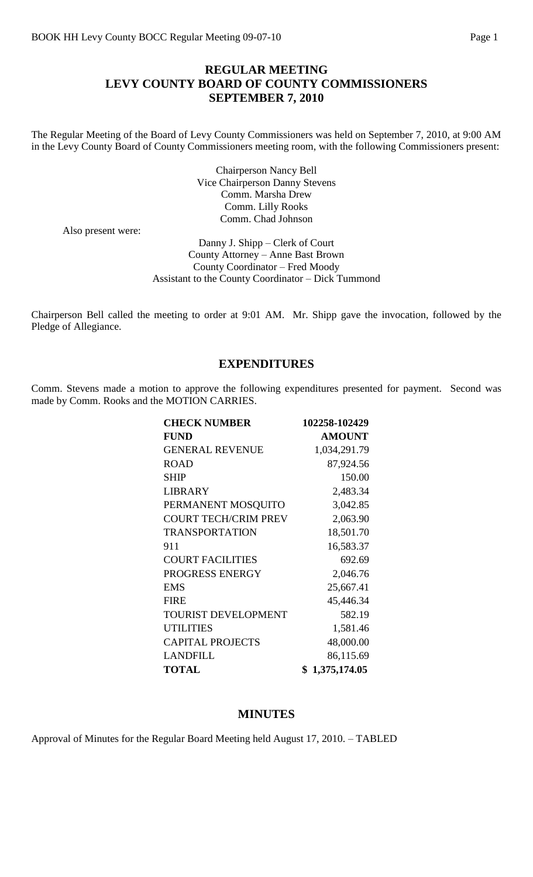# **REGULAR MEETING LEVY COUNTY BOARD OF COUNTY COMMISSIONERS SEPTEMBER 7, 2010**

The Regular Meeting of the Board of Levy County Commissioners was held on September 7, 2010, at 9:00 AM in the Levy County Board of County Commissioners meeting room, with the following Commissioners present:

> Chairperson Nancy Bell Vice Chairperson Danny Stevens Comm. Marsha Drew Comm. Lilly Rooks Comm. Chad Johnson

Also present were:

Danny J. Shipp – Clerk of Court County Attorney – Anne Bast Brown County Coordinator – Fred Moody Assistant to the County Coordinator – Dick Tummond

Chairperson Bell called the meeting to order at 9:01 AM. Mr. Shipp gave the invocation, followed by the Pledge of Allegiance.

### **EXPENDITURES**

Comm. Stevens made a motion to approve the following expenditures presented for payment. Second was made by Comm. Rooks and the MOTION CARRIES.

| <b>CHECK NUMBER</b>         | 102258-102429  |
|-----------------------------|----------------|
| <b>FUND</b>                 | <b>AMOUNT</b>  |
| <b>GENERAL REVENUE</b>      | 1,034,291.79   |
| <b>ROAD</b>                 | 87,924.56      |
| <b>SHIP</b>                 | 150.00         |
| <b>LIBRARY</b>              | 2,483.34       |
| PERMANENT MOSQUITO          | 3,042.85       |
| <b>COURT TECH/CRIM PREV</b> | 2,063.90       |
| <b>TRANSPORTATION</b>       | 18,501.70      |
| 911                         | 16,583.37      |
| <b>COURT FACILITIES</b>     | 692.69         |
| PROGRESS ENERGY             | 2,046.76       |
| <b>EMS</b>                  | 25,667.41      |
| <b>FIRE</b>                 | 45,446.34      |
| <b>TOURIST DEVELOPMENT</b>  | 582.19         |
| <b>UTILITIES</b>            | 1,581.46       |
| <b>CAPITAL PROJECTS</b>     | 48,000.00      |
| <b>LANDFILL</b>             | 86,115.69      |
| <b>TOTAL</b>                | \$1,375,174.05 |

#### **MINUTES**

Approval of Minutes for the Regular Board Meeting held August 17, 2010. – TABLED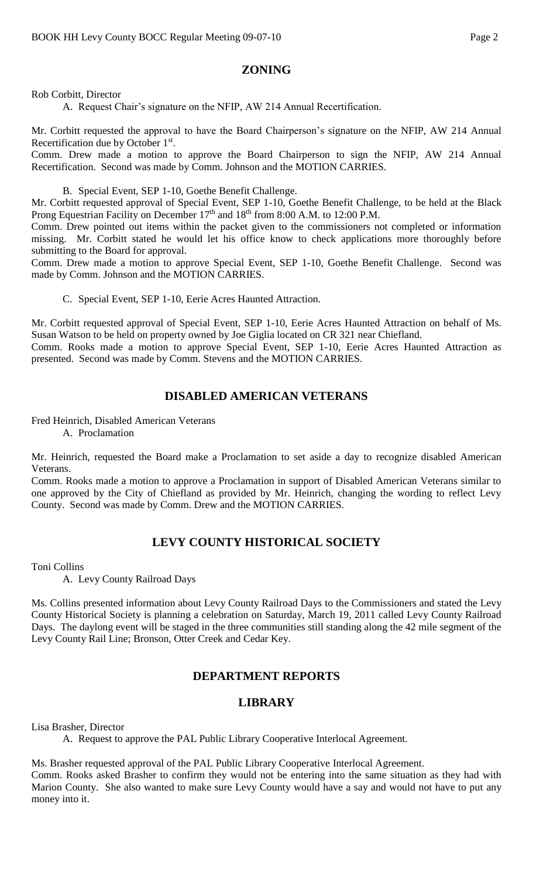# **ZONING**

Rob Corbitt, Director

A. Request Chair's signature on the NFIP, AW 214 Annual Recertification.

Mr. Corbitt requested the approval to have the Board Chairperson's signature on the NFIP, AW 214 Annual Recertification due by October 1<sup>st</sup>.

Comm. Drew made a motion to approve the Board Chairperson to sign the NFIP, AW 214 Annual Recertification. Second was made by Comm. Johnson and the MOTION CARRIES.

B. Special Event, SEP 1-10, Goethe Benefit Challenge.

Mr. Corbitt requested approval of Special Event, SEP 1-10, Goethe Benefit Challenge, to be held at the Black Prong Equestrian Facility on December 17<sup>th</sup> and 18<sup>th</sup> from 8:00 A.M. to 12:00 P.M.

Comm. Drew pointed out items within the packet given to the commissioners not completed or information missing. Mr. Corbitt stated he would let his office know to check applications more thoroughly before submitting to the Board for approval.

Comm. Drew made a motion to approve Special Event, SEP 1-10, Goethe Benefit Challenge. Second was made by Comm. Johnson and the MOTION CARRIES.

C. Special Event, SEP 1-10, Eerie Acres Haunted Attraction.

Mr. Corbitt requested approval of Special Event, SEP 1-10, Eerie Acres Haunted Attraction on behalf of Ms. Susan Watson to be held on property owned by Joe Giglia located on CR 321 near Chiefland.

Comm. Rooks made a motion to approve Special Event, SEP 1-10, Eerie Acres Haunted Attraction as presented. Second was made by Comm. Stevens and the MOTION CARRIES.

# **DISABLED AMERICAN VETERANS**

Fred Heinrich, Disabled American Veterans A. Proclamation

Mr. Heinrich, requested the Board make a Proclamation to set aside a day to recognize disabled American Veterans.

Comm. Rooks made a motion to approve a Proclamation in support of Disabled American Veterans similar to one approved by the City of Chiefland as provided by Mr. Heinrich, changing the wording to reflect Levy County. Second was made by Comm. Drew and the MOTION CARRIES.

# **LEVY COUNTY HISTORICAL SOCIETY**

Toni Collins

A. Levy County Railroad Days

Ms. Collins presented information about Levy County Railroad Days to the Commissioners and stated the Levy County Historical Society is planning a celebration on Saturday, March 19, 2011 called Levy County Railroad Days. The daylong event will be staged in the three communities still standing along the 42 mile segment of the Levy County Rail Line; Bronson, Otter Creek and Cedar Key.

# **DEPARTMENT REPORTS**

# **LIBRARY**

Lisa Brasher, Director

A. Request to approve the PAL Public Library Cooperative Interlocal Agreement.

Ms. Brasher requested approval of the PAL Public Library Cooperative Interlocal Agreement.

Comm. Rooks asked Brasher to confirm they would not be entering into the same situation as they had with Marion County. She also wanted to make sure Levy County would have a say and would not have to put any money into it.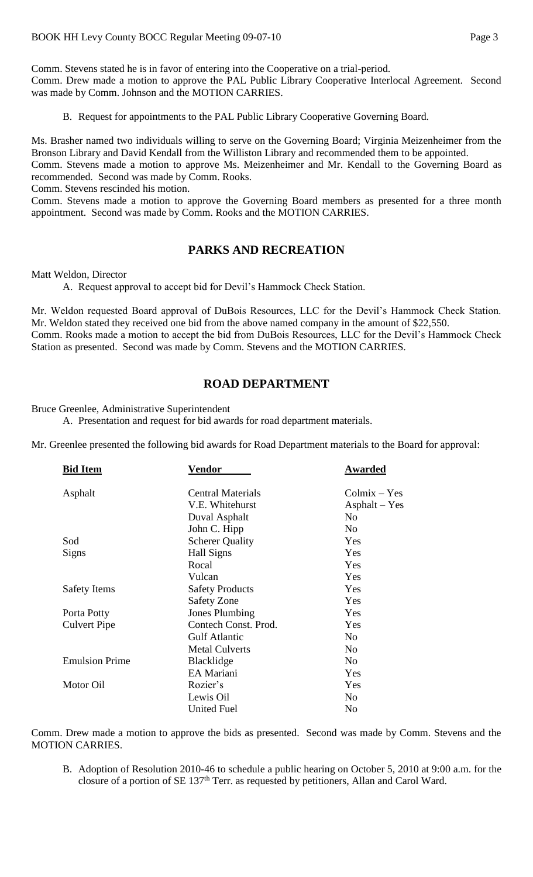Comm. Stevens stated he is in favor of entering into the Cooperative on a trial-period.

Comm. Drew made a motion to approve the PAL Public Library Cooperative Interlocal Agreement. Second was made by Comm. Johnson and the MOTION CARRIES.

B. Request for appointments to the PAL Public Library Cooperative Governing Board.

Ms. Brasher named two individuals willing to serve on the Governing Board; Virginia Meizenheimer from the Bronson Library and David Kendall from the Williston Library and recommended them to be appointed.

Comm. Stevens made a motion to approve Ms. Meizenheimer and Mr. Kendall to the Governing Board as recommended. Second was made by Comm. Rooks.

Comm. Stevens rescinded his motion.

Comm. Stevens made a motion to approve the Governing Board members as presented for a three month appointment. Second was made by Comm. Rooks and the MOTION CARRIES.

# **PARKS AND RECREATION**

Matt Weldon, Director

A. Request approval to accept bid for Devil's Hammock Check Station.

Mr. Weldon requested Board approval of DuBois Resources, LLC for the Devil's Hammock Check Station. Mr. Weldon stated they received one bid from the above named company in the amount of \$22,550. Comm. Rooks made a motion to accept the bid from DuBois Resources, LLC for the Devil's Hammock Check Station as presented. Second was made by Comm. Stevens and the MOTION CARRIES.

# **ROAD DEPARTMENT**

Bruce Greenlee, Administrative Superintendent

A. Presentation and request for bid awards for road department materials.

Mr. Greenlee presented the following bid awards for Road Department materials to the Board for approval:

| <b>Bid Item</b>       | <u>Vendor</u>            | <b>Awarded</b>  |
|-----------------------|--------------------------|-----------------|
| Asphalt               | <b>Central Materials</b> | $Columnx - Yes$ |
|                       | V.E. Whitehurst          | $Asphalt - Yes$ |
|                       | Duval Asphalt            | No              |
|                       | John C. Hipp             | N <sub>0</sub>  |
| Sod                   | <b>Scherer Quality</b>   | Yes             |
| Signs                 | Hall Signs               | Yes             |
|                       | Rocal                    | Yes             |
|                       | Vulcan                   | Yes             |
| <b>Safety Items</b>   | <b>Safety Products</b>   | Yes             |
|                       | <b>Safety Zone</b>       | Yes             |
| Porta Potty           | <b>Jones Plumbing</b>    | Yes             |
| <b>Culvert Pipe</b>   | Contech Const. Prod.     | Yes             |
|                       | <b>Gulf Atlantic</b>     | No              |
|                       | <b>Metal Culverts</b>    | No              |
| <b>Emulsion Prime</b> | <b>Blacklidge</b>        | N <sub>0</sub>  |
|                       | EA Mariani               | Yes             |
| Motor Oil             | Rozier's                 | Yes             |
|                       | Lewis Oil                | No              |
|                       | <b>United Fuel</b>       | No              |
|                       |                          |                 |

Comm. Drew made a motion to approve the bids as presented. Second was made by Comm. Stevens and the MOTION CARRIES.

B. Adoption of Resolution 2010-46 to schedule a public hearing on October 5, 2010 at 9:00 a.m. for the closure of a portion of SE 137<sup>th</sup> Terr. as requested by petitioners, Allan and Carol Ward.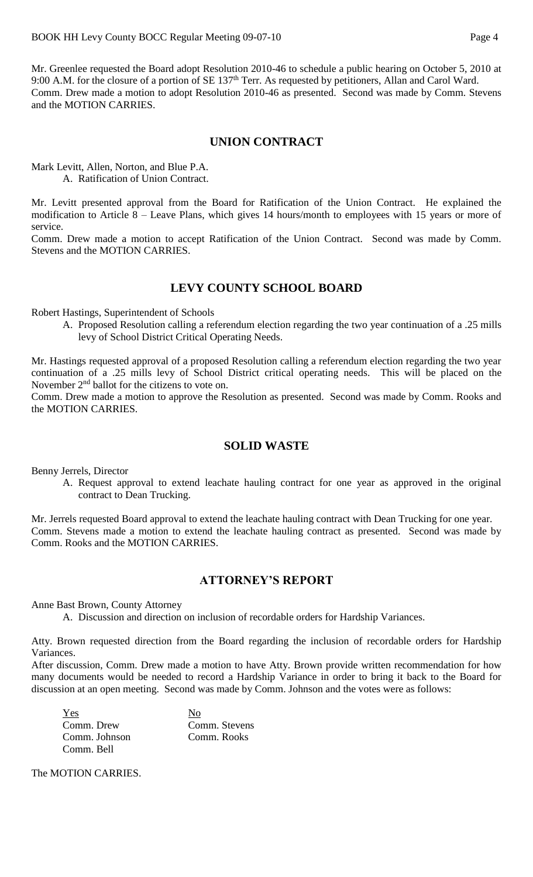Mr. Greenlee requested the Board adopt Resolution 2010-46 to schedule a public hearing on October 5, 2010 at 9:00 A.M. for the closure of a portion of SE 137<sup>th</sup> Terr. As requested by petitioners, Allan and Carol Ward. Comm. Drew made a motion to adopt Resolution 2010-46 as presented. Second was made by Comm. Stevens and the MOTION CARRIES.

# **UNION CONTRACT**

Mark Levitt, Allen, Norton, and Blue P.A. A. Ratification of Union Contract.

Mr. Levitt presented approval from the Board for Ratification of the Union Contract. He explained the modification to Article 8 – Leave Plans, which gives 14 hours/month to employees with 15 years or more of service.

Comm. Drew made a motion to accept Ratification of the Union Contract. Second was made by Comm. Stevens and the MOTION CARRIES.

# **LEVY COUNTY SCHOOL BOARD**

Robert Hastings, Superintendent of Schools

A. Proposed Resolution calling a referendum election regarding the two year continuation of a .25 mills levy of School District Critical Operating Needs.

Mr. Hastings requested approval of a proposed Resolution calling a referendum election regarding the two year continuation of a .25 mills levy of School District critical operating needs. This will be placed on the November  $2<sup>nd</sup>$  ballot for the citizens to vote on.

Comm. Drew made a motion to approve the Resolution as presented. Second was made by Comm. Rooks and the MOTION CARRIES.

#### **SOLID WASTE**

Benny Jerrels, Director

A. Request approval to extend leachate hauling contract for one year as approved in the original contract to Dean Trucking.

Mr. Jerrels requested Board approval to extend the leachate hauling contract with Dean Trucking for one year. Comm. Stevens made a motion to extend the leachate hauling contract as presented. Second was made by Comm. Rooks and the MOTION CARRIES.

# **ATTORNEY'S REPORT**

Anne Bast Brown, County Attorney

A. Discussion and direction on inclusion of recordable orders for Hardship Variances.

Atty. Brown requested direction from the Board regarding the inclusion of recordable orders for Hardship Variances.

After discussion, Comm. Drew made a motion to have Atty. Brown provide written recommendation for how many documents would be needed to record a Hardship Variance in order to bring it back to the Board for discussion at an open meeting. Second was made by Comm. Johnson and the votes were as follows:

Yes No Comm. Drew Comm. Stevens Comm. Johnson Comm. Rooks Comm. Bell

The MOTION CARRIES.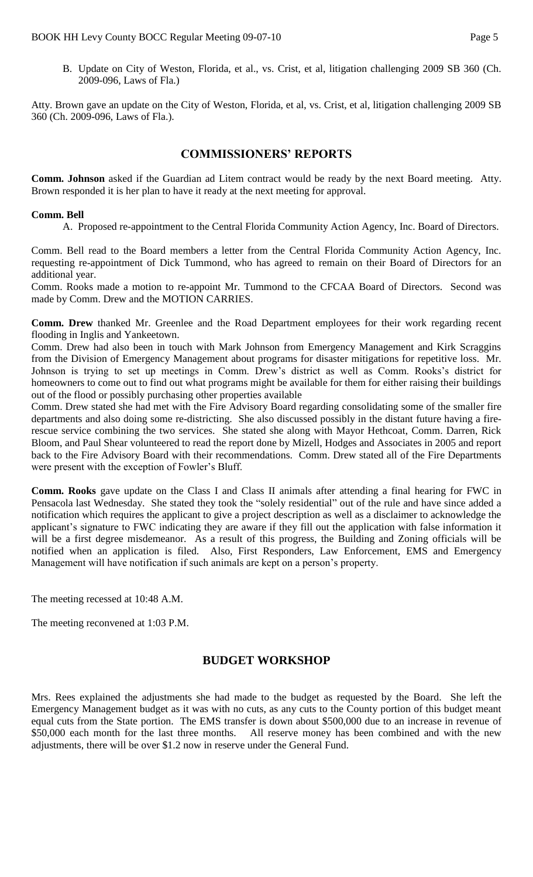B. Update on City of Weston, Florida, et al., vs. Crist, et al, litigation challenging 2009 SB 360 (Ch. 2009-096, Laws of Fla.)

Atty. Brown gave an update on the City of Weston, Florida, et al, vs. Crist, et al, litigation challenging 2009 SB 360 (Ch. 2009-096, Laws of Fla.).

#### **COMMISSIONERS' REPORTS**

**Comm. Johnson** asked if the Guardian ad Litem contract would be ready by the next Board meeting. Atty. Brown responded it is her plan to have it ready at the next meeting for approval.

#### **Comm. Bell**

A. Proposed re-appointment to the Central Florida Community Action Agency, Inc. Board of Directors.

Comm. Bell read to the Board members a letter from the Central Florida Community Action Agency, Inc. requesting re-appointment of Dick Tummond, who has agreed to remain on their Board of Directors for an additional year.

Comm. Rooks made a motion to re-appoint Mr. Tummond to the CFCAA Board of Directors. Second was made by Comm. Drew and the MOTION CARRIES.

**Comm. Drew** thanked Mr. Greenlee and the Road Department employees for their work regarding recent flooding in Inglis and Yankeetown.

Comm. Drew had also been in touch with Mark Johnson from Emergency Management and Kirk Scraggins from the Division of Emergency Management about programs for disaster mitigations for repetitive loss. Mr. Johnson is trying to set up meetings in Comm. Drew's district as well as Comm. Rooks's district for homeowners to come out to find out what programs might be available for them for either raising their buildings out of the flood or possibly purchasing other properties available

Comm. Drew stated she had met with the Fire Advisory Board regarding consolidating some of the smaller fire departments and also doing some re-districting. She also discussed possibly in the distant future having a firerescue service combining the two services. She stated she along with Mayor Hethcoat, Comm. Darren, Rick Bloom, and Paul Shear volunteered to read the report done by Mizell, Hodges and Associates in 2005 and report back to the Fire Advisory Board with their recommendations. Comm. Drew stated all of the Fire Departments were present with the exception of Fowler's Bluff.

**Comm. Rooks** gave update on the Class I and Class II animals after attending a final hearing for FWC in Pensacola last Wednesday. She stated they took the "solely residential" out of the rule and have since added a notification which requires the applicant to give a project description as well as a disclaimer to acknowledge the applicant's signature to FWC indicating they are aware if they fill out the application with false information it will be a first degree misdemeanor. As a result of this progress, the Building and Zoning officials will be notified when an application is filed. Also, First Responders, Law Enforcement, EMS and Emergency Management will have notification if such animals are kept on a person's property.

The meeting recessed at 10:48 A.M.

The meeting reconvened at 1:03 P.M.

# **BUDGET WORKSHOP**

Mrs. Rees explained the adjustments she had made to the budget as requested by the Board. She left the Emergency Management budget as it was with no cuts, as any cuts to the County portion of this budget meant equal cuts from the State portion. The EMS transfer is down about \$500,000 due to an increase in revenue of \$50,000 each month for the last three months. All reserve money has been combined and with the new adjustments, there will be over \$1.2 now in reserve under the General Fund.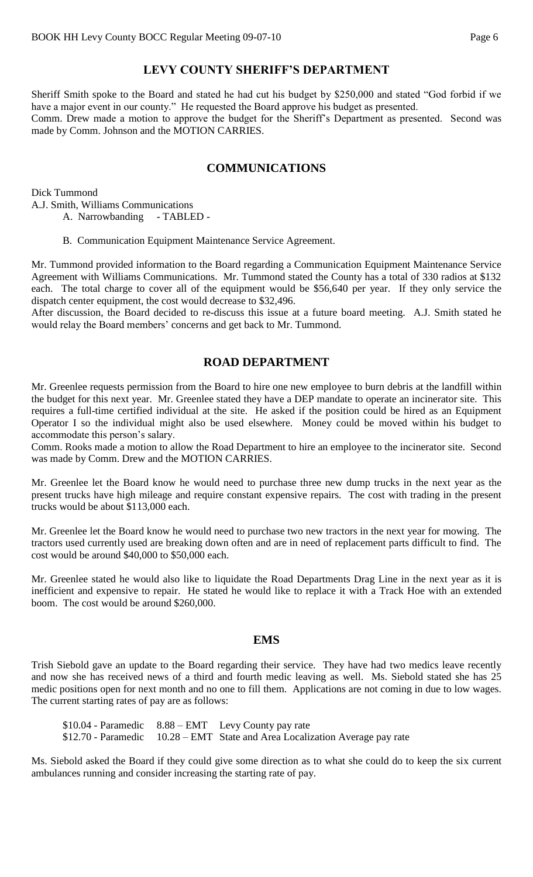# **LEVY COUNTY SHERIFF'S DEPARTMENT**

Sheriff Smith spoke to the Board and stated he had cut his budget by \$250,000 and stated "God forbid if we have a major event in our county." He requested the Board approve his budget as presented. Comm. Drew made a motion to approve the budget for the Sheriff's Department as presented. Second was made by Comm. Johnson and the MOTION CARRIES.

# **COMMUNICATIONS**

Dick Tummond A.J. Smith, Williams Communications A. Narrowbanding - TABLED -

B. Communication Equipment Maintenance Service Agreement.

Mr. Tummond provided information to the Board regarding a Communication Equipment Maintenance Service Agreement with Williams Communications. Mr. Tummond stated the County has a total of 330 radios at \$132 each. The total charge to cover all of the equipment would be \$56,640 per year. If they only service the dispatch center equipment, the cost would decrease to \$32,496.

After discussion, the Board decided to re-discuss this issue at a future board meeting. A.J. Smith stated he would relay the Board members' concerns and get back to Mr. Tummond.

# **ROAD DEPARTMENT**

Mr. Greenlee requests permission from the Board to hire one new employee to burn debris at the landfill within the budget for this next year. Mr. Greenlee stated they have a DEP mandate to operate an incinerator site. This requires a full-time certified individual at the site. He asked if the position could be hired as an Equipment Operator I so the individual might also be used elsewhere. Money could be moved within his budget to accommodate this person's salary.

Comm. Rooks made a motion to allow the Road Department to hire an employee to the incinerator site. Second was made by Comm. Drew and the MOTION CARRIES.

Mr. Greenlee let the Board know he would need to purchase three new dump trucks in the next year as the present trucks have high mileage and require constant expensive repairs. The cost with trading in the present trucks would be about \$113,000 each.

Mr. Greenlee let the Board know he would need to purchase two new tractors in the next year for mowing. The tractors used currently used are breaking down often and are in need of replacement parts difficult to find. The cost would be around \$40,000 to \$50,000 each.

Mr. Greenlee stated he would also like to liquidate the Road Departments Drag Line in the next year as it is inefficient and expensive to repair. He stated he would like to replace it with a Track Hoe with an extended boom. The cost would be around \$260,000.

#### **EMS**

Trish Siebold gave an update to the Board regarding their service. They have had two medics leave recently and now she has received news of a third and fourth medic leaving as well. Ms. Siebold stated she has 25 medic positions open for next month and no one to fill them. Applications are not coming in due to low wages. The current starting rates of pay are as follows:

\$10.04 - Paramedic 8.88 – EMT Levy County pay rate \$12.70 - Paramedic 10.28 – EMT State and Area Localization Average pay rate

Ms. Siebold asked the Board if they could give some direction as to what she could do to keep the six current ambulances running and consider increasing the starting rate of pay.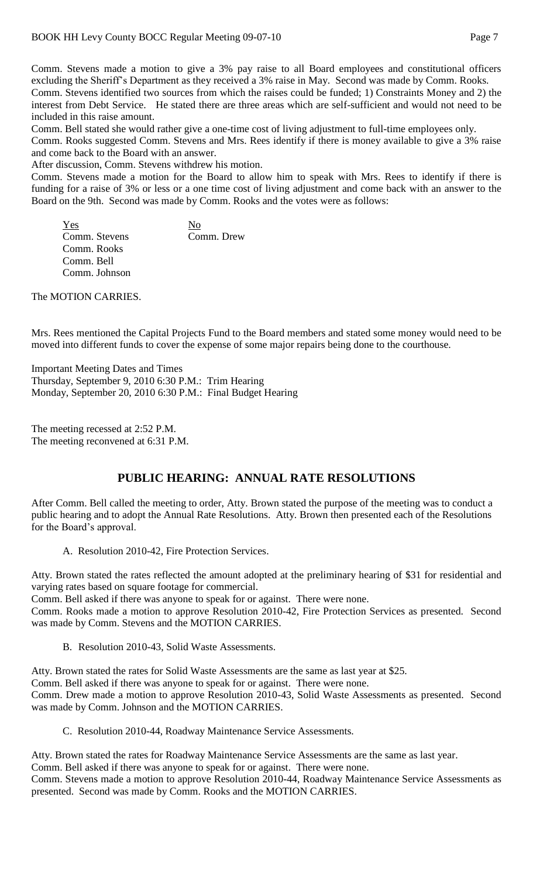Comm. Stevens made a motion to give a 3% pay raise to all Board employees and constitutional officers excluding the Sheriff's Department as they received a 3% raise in May. Second was made by Comm. Rooks. Comm. Stevens identified two sources from which the raises could be funded; 1) Constraints Money and 2) the interest from Debt Service. He stated there are three areas which are self-sufficient and would not need to be included in this raise amount.

Comm. Bell stated she would rather give a one-time cost of living adjustment to full-time employees only.

Comm. Rooks suggested Comm. Stevens and Mrs. Rees identify if there is money available to give a 3% raise and come back to the Board with an answer.

After discussion, Comm. Stevens withdrew his motion.

Comm. Stevens made a motion for the Board to allow him to speak with Mrs. Rees to identify if there is funding for a raise of 3% or less or a one time cost of living adjustment and come back with an answer to the Board on the 9th. Second was made by Comm. Rooks and the votes were as follows:

Yes No Comm. Stevens Comm. Drew Comm. Rooks Comm. Bell Comm. Johnson

The MOTION CARRIES.

Mrs. Rees mentioned the Capital Projects Fund to the Board members and stated some money would need to be moved into different funds to cover the expense of some major repairs being done to the courthouse.

Important Meeting Dates and Times Thursday, September 9, 2010 6:30 P.M.: Trim Hearing Monday, September 20, 2010 6:30 P.M.: Final Budget Hearing

The meeting recessed at 2:52 P.M. The meeting reconvened at 6:31 P.M.

# **PUBLIC HEARING: ANNUAL RATE RESOLUTIONS**

After Comm. Bell called the meeting to order, Atty. Brown stated the purpose of the meeting was to conduct a public hearing and to adopt the Annual Rate Resolutions. Atty. Brown then presented each of the Resolutions for the Board's approval.

A. Resolution 2010-42, Fire Protection Services.

Atty. Brown stated the rates reflected the amount adopted at the preliminary hearing of \$31 for residential and varying rates based on square footage for commercial.

Comm. Bell asked if there was anyone to speak for or against. There were none.

Comm. Rooks made a motion to approve Resolution 2010-42, Fire Protection Services as presented. Second was made by Comm. Stevens and the MOTION CARRIES.

B. Resolution 2010-43, Solid Waste Assessments.

Atty. Brown stated the rates for Solid Waste Assessments are the same as last year at \$25. Comm. Bell asked if there was anyone to speak for or against. There were none. Comm. Drew made a motion to approve Resolution 2010-43, Solid Waste Assessments as presented. Second was made by Comm. Johnson and the MOTION CARRIES.

C. Resolution 2010-44, Roadway Maintenance Service Assessments.

Atty. Brown stated the rates for Roadway Maintenance Service Assessments are the same as last year. Comm. Bell asked if there was anyone to speak for or against. There were none. Comm. Stevens made a motion to approve Resolution 2010-44, Roadway Maintenance Service Assessments as presented. Second was made by Comm. Rooks and the MOTION CARRIES.